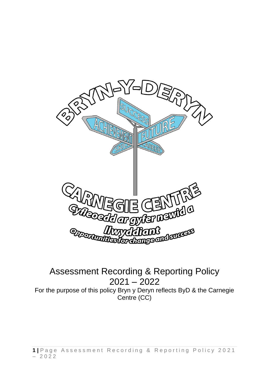

Assessment Recording & Reporting Policy 2021 – 2022 For the purpose of this policy Bryn y Deryn reflects ByD & the Carnegie Centre (CC)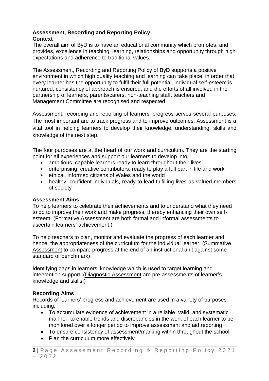### **Assessment, Recording and Reporting Policy Context**

The overall aim of ByD is to have an educational community which promotes, and provides, excellence in teaching, learning, relationships and opportunity through high expectations and adherence to traditional values.

The Assessment, Recording and Reporting Policy of ByD supports a positive environment in which high quality teaching and learning can take place, in order that every learner has the opportunity to fulfil their full potential, individual self-esteem is nurtured, consistency of approach is ensured, and the efforts of all involved in the partnership of learners, parents/carers, non-teaching staff, teachers and Management Committee are recognised and respected.

Assessment, recording and reporting of learners' progress serves several purposes. The most important are to track progress and to improve outcomes. Assessment is a vital tool in helping learners to develop their knowledge, understanding, skills and knowledge of the next step.

The four purposes are at the heart of our work and curriculum. They are the starting point for all experiences and support our learners to develop into:

- ambitious, capable learners ready to learn throughout their lives
- enterprising, creative contributors, ready to play a full part in life and work
- ethical, informed citizens of Wales and the world
- healthy, confident individuals, ready to lead fulfilling lives as valued members of society

### **Assessment Aims**

To help learners to celebrate their achievements and to understand what they need to do to improve their work and make progress, thereby enhancing their own selfesteem. (Formative Assessment are both formal and informal assessments to ascertain learners' achievement.)

To help teachers to plan, monitor and evaluate the progress of each learner and hence, the appropriateness of the curriculum for the individual learner. (Summative Assessment to compare progress at the end of an instructional unit against some standard or benchmark)

Identifying gaps in learners' knowledge which is used to target learning and intervention support. (Diagnostic Assessment are pre-assessments of learner's knowledge and skills.)

### **Recording Aims**

Records of learners' progress and achievement are used in a variety of purposes including:

- To accumulate evidence of achievement in a reliable, valid, and systematic manner, to enable trends and discrepancies in the work of each learner to be monitored over a longer period to improve assessment and aid reporting
- To ensure consistency of assessment/marking within throughout the school
- Plan the curriculum more effectively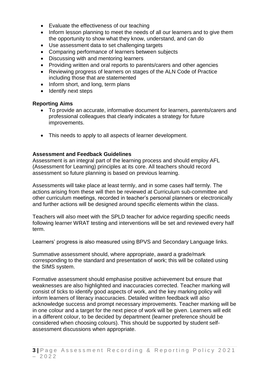- Evaluate the effectiveness of our teaching
- Inform lesson planning to meet the needs of all our learners and to give them the opportunity to show what they know, understand, and can do
- Use assessment data to set challenging targets
- Comparing performance of learners between subjects
- Discussing with and mentoring learners
- Providing written and oral reports to parents/carers and other agencies
- Reviewing progress of learners on stages of the ALN Code of Practice including those that are statemented
- Inform short, and long, term plans
- Identify next steps

### **Reporting Aims**

- To provide an accurate, informative document for learners, parents/carers and professional colleagues that clearly indicates a strategy for future improvements.
- This needs to apply to all aspects of learner development.

### **Assessment and Feedback Guidelines**

Assessment is an integral part of the learning process and should employ AFL (Assessment for Learning) principles at its core. All teachers should record assessment so future planning is based on previous learning.

Assessments will take place at least termly, and in some cases half termly. The actions arising from these will then be reviewed at Curriculum sub-committee and other curriculum meetings, recorded in teacher's personal planners or electronically and further actions will be designed around specific elements within the class.

Teachers will also meet with the SPLD teacher for advice regarding specific needs following learner WRAT testing and interventions will be set and reviewed every half term.

Learners' progress is also measured using BPVS and Secondary Language links.

Summative assessment should, where appropriate, award a grade/mark corresponding to the standard and presentation of work; this will be collated using the SIMS system.

Formative assessment should emphasise positive achievement but ensure that weaknesses are also highlighted and inaccuracies corrected. Teacher marking will consist of ticks to identify good aspects of work, and the key marking policy will inform learners of literacy inaccuracies. Detailed written feedback will also acknowledge success and prompt necessary improvements. Teacher marking will be in one colour and a target for the next piece of work will be given. Learners will edit in a different colour, to be decided by department (learner preference should be considered when choosing colours). This should be supported by student selfassessment discussions when appropriate.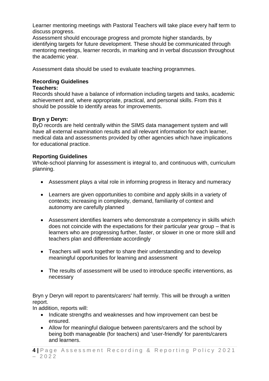Learner mentoring meetings with Pastoral Teachers will take place every half term to discuss progress.

Assessment should encourage progress and promote higher standards, by identifying targets for future development. These should be communicated through mentoring meetings, learner records, in marking and in verbal discussion throughout the academic year.

Assessment data should be used to evaluate teaching programmes.

# **Recording Guidelines**

## **Teachers:**

Records should have a balance of information including targets and tasks, academic achievement and, where appropriate, practical, and personal skills. From this it should be possible to identify areas for improvements.

# **Bryn y Deryn:**

ByD records are held centrally within the SIMS data management system and will have all external examination results and all relevant information for each learner, medical data and assessments provided by other agencies which have implications for educational practice.

# **Reporting Guidelines**

Whole-school planning for assessment is integral to, and continuous with, curriculum planning.

- Assessment plays a vital role in informing progress in literacy and numeracy
- Learners are given opportunities to combine and apply skills in a variety of contexts; increasing in complexity, demand, familiarity of context and autonomy are carefully planned
- Assessment identifies learners who demonstrate a competency in skills which does not coincide with the expectations for their particular year group – that is learners who are progressing further, faster, or slower in one or more skill and teachers plan and differentiate accordingly
- Teachers will work together to share their understanding and to develop meaningful opportunities for learning and assessment
- The results of assessment will be used to introduce specific interventions, as necessary

Bryn y Deryn will report to parents/carers' half termly. This will be through a written report.

In addition, reports will:

- Indicate strengths and weaknesses and how improvement can best be ensured.
- Allow for meaningful dialogue between parents/carers and the school by being both manageable (for teachers) and 'user-friendly' for parents/carers and learners.